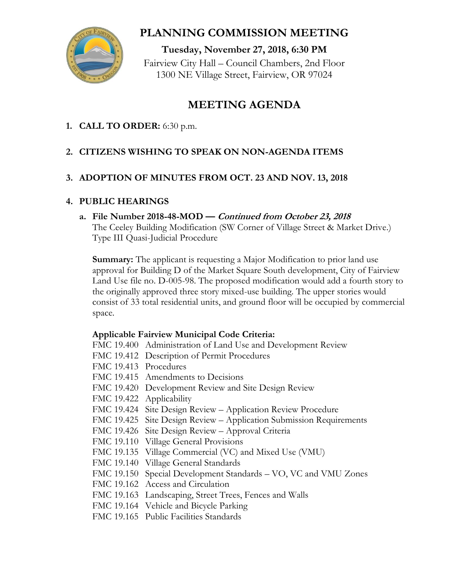

# **PLANNING COMMISSION MEETING**

**Tuesday, November 27, 2018, 6:30 PM** Fairview City Hall – Council Chambers, 2nd Floor 1300 NE Village Street, Fairview, OR 97024

# **MEETING AGENDA**

**1. CALL TO ORDER:** 6:30 p.m.

# **2. CITIZENS WISHING TO SPEAK ON NON-AGENDA ITEMS**

# **3. ADOPTION OF MINUTES FROM OCT. 23 AND NOV. 13, 2018**

## **4. PUBLIC HEARINGS**

### **a. File Number 2018-48-MOD — Continued from October 23, 2018**

The Ceeley Building Modification (SW Corner of Village Street & Market Drive.) Type III Quasi-Judicial Procedure

**Summary:** The applicant is requesting a Major Modification to prior land use approval for Building D of the Market Square South development, City of Fairview Land Use file no. D-005-98. The proposed modification would add a fourth story to the originally approved three story mixed-use building. The upper stories would consist of 33 total residential units, and ground floor will be occupied by commercial space.

## **Applicable Fairview Municipal Code Criteria:**

- FMC 19.400 Administration of Land Use and Development Review
- FMC 19.412 Description of Permit Procedures
- FMC 19.413 Procedures
- FMC 19.415 Amendments to Decisions
- FMC 19.420 Development Review and Site Design Review
- FMC 19.422 Applicability
- FMC 19.424 Site Design Review Application Review Procedure
- FMC 19.425 Site Design Review Application Submission Requirements
- FMC 19.426 Site Design Review Approval Criteria
- FMC 19.110 Village General Provisions
- FMC 19.135 Village Commercial (VC) and Mixed Use (VMU)
- FMC 19.140 Village General Standards
- FMC 19.150 Special Development Standards VO, VC and VMU Zones
- FMC 19.162 Access and Circulation
- FMC 19.163 Landscaping, Street Trees, Fences and Walls
- FMC 19.164 Vehicle and Bicycle Parking
- FMC 19.165 Public Facilities Standards